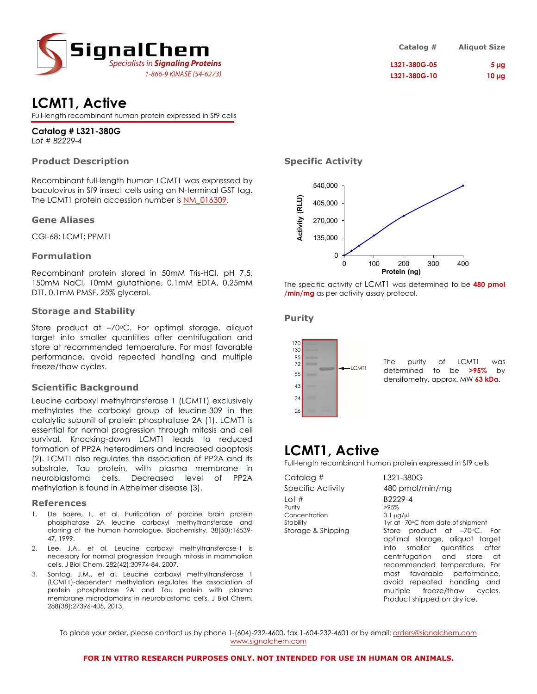

# **LCMT1, Active**

Full-length recombinant human protein expressed in Sf9 cells

#### **Catalog # L321-380G** *Lot # B2229-4*

# **Product Description**

Recombinant full-length human LCMT1 was expressed by baculovirus in Sf9 insect cells using an N-terminal GST tag. The LCMT1 protein accession number is [NM\\_016309](https://www.ncbi.nlm.nih.gov/gene/?term=NM_016309).

### **Gene Aliases**

CGI-68; LCMT; PPMT1

### **Formulation**

Recombinant protein stored in 50mM Tris-HCl, pH 7.5, 150mM NaCl, 10mM glutathione, 0.1mM EDTA, 0.25mM DTT, 0.1mM PMSF, 25% glycerol.

### **Storage and Stability**

Store product at -70°C. For optimal storage, aliquot target into smaller quantities after centrifugation and store at recommended temperature. For most favorable performance, avoid repeated handling and multiple freeze/thaw cycles.

# **Scientific Background**

Leucine carboxyl methyltransferase 1 (LCMT1) exclusively methylates the carboxyl group of leucine-309 in the catalytic subunit of protein phosphatase 2A (1). LCMT1 is essential for normal progression through mitosis and cell survival. Knocking-down LCMT1 leads to reduced formation of PP2A heterodimers and increased apoptosis (2). LCMT1 also regulates the association of PP2A and its substrate, Tau protein, with plasma membrane in neuroblastoma cells. Decreased level of PP2A methylation is found in Alzheimer disease (3).

### **References**

- 1. De Baere, I., et al. Purification of porcine brain protein phosphatase 2A leucine carboxyl methyltransferase and cloning of the human homologue. Biochemistry. 38(50):16539- 47, 1999.
- 2. Lee, J.A., et al. Leucine carboxyl methyltransferase-1 is necessary for normal progression through mitosis in mammalian cells. J Biol Chem. 282(42):30974-84, 2007.
- 3. Sontag, J.M., et al. Leucine carboxyl methyltransferase 1 (LCMT1)-dependent methylation regulates the association of protein phosphatase 2A and Tau protein with plasma membrane microdomains in neuroblastoma cells. J Biol Chem. 288(38):27396-405, 2013.

| Catalog #    | <b>Aliquot Size</b> |
|--------------|---------------------|
| L321-380G-05 | 5 <sub>µq</sub>     |
| L321-380G-10 | $10 \mu g$          |

# **Specific Activity**



The specific activity of LCMT1 was determined to be **480 pmol /min/mg** as per activity assay protocol.

# **Purity**



The purity of LCMT1 was determined to be **>95%** by densitometry, approx. MW **63 kDa**.

# **LCMT1, Active**

Full-length recombinant human protein expressed in Sf9 cells

| Catalog #                                                           | L321-380G                                                                                                                                                                                                                                                                                                                                     |
|---------------------------------------------------------------------|-----------------------------------------------------------------------------------------------------------------------------------------------------------------------------------------------------------------------------------------------------------------------------------------------------------------------------------------------|
| Specific Activity                                                   | 480 pmol/min/mg                                                                                                                                                                                                                                                                                                                               |
| Lot #<br>Purity<br>Concentration<br>Stability<br>Storage & Shipping | B2229-4<br>>95%<br>$0.1 \mu$ g/ $\mu$<br>1yr at -70°C from date of shipment<br>Store product at $-70$ C. For<br>optimal storage, aliquot target<br>into smaller quantities after<br>centrifugation and store at<br>recommended temperature. For<br>most favorable performance.<br>avoid repeated handling and<br>multiple freeze/thaw cycles. |

Product shipped on dry ice.

To place your order, please contact us by phone 1-(604)-232-4600, fax 1-604-232-4601 or by email: [orders@signalchem.com](mailto:orders@signalchem.com) [www.signalchem.com](http://www.signalchem.com/)

#### **FOR IN VITRO RESEARCH PURPOSES ONLY. NOT INTENDED FOR USE IN HUMAN OR ANIMALS.**